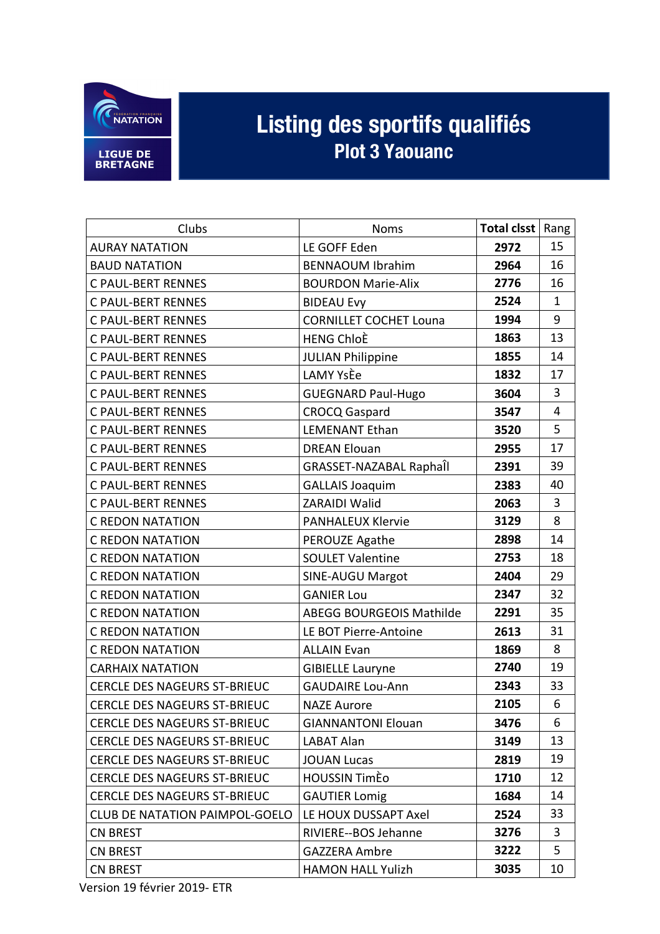

## Listing des sportifs qualifiés

| Clubs                                 | <b>Noms</b>                    | Total clsst | Rang           |
|---------------------------------------|--------------------------------|-------------|----------------|
| <b>AURAY NATATION</b>                 | LE GOFF Eden                   | 2972        | 15             |
| <b>BAUD NATATION</b>                  | <b>BENNAOUM Ibrahim</b>        | 2964        | 16             |
| <b>C PAUL-BERT RENNES</b>             | <b>BOURDON Marie-Alix</b>      | 2776        | 16             |
| <b>C PAUL-BERT RENNES</b>             | <b>BIDEAU Evy</b>              | 2524        | $\mathbf{1}$   |
| <b>C PAUL-BERT RENNES</b>             | <b>CORNILLET COCHET Louna</b>  | 1994        | 9              |
| <b>C PAUL-BERT RENNES</b>             | <b>HENG ChloÈ</b>              | 1863        | 13             |
| <b>C PAUL-BERT RENNES</b>             | <b>JULIAN Philippine</b>       | 1855        | 14             |
| <b>C PAUL-BERT RENNES</b>             | <b>LAMY YsÈe</b>               | 1832        | 17             |
| <b>C PAUL-BERT RENNES</b>             | <b>GUEGNARD Paul-Hugo</b>      | 3604        | 3              |
| <b>C PAUL-BERT RENNES</b>             | <b>CROCQ Gaspard</b>           | 3547        | $\overline{4}$ |
| <b>C PAUL-BERT RENNES</b>             | <b>LEMENANT Ethan</b>          | 3520        | 5              |
| <b>C PAUL-BERT RENNES</b>             | <b>DREAN Elouan</b>            | 2955        | 17             |
| <b>C PAUL-BERT RENNES</b>             | <b>GRASSET-NAZABAL Raphall</b> | 2391        | 39             |
| <b>C PAUL-BERT RENNES</b>             | <b>GALLAIS Joaquim</b>         | 2383        | 40             |
| <b>C PAUL-BERT RENNES</b>             | <b>ZARAIDI Walid</b>           | 2063        | 3              |
| <b>C REDON NATATION</b>               | <b>PANHALEUX Klervie</b>       | 3129        | 8              |
| <b>C REDON NATATION</b>               | PEROUZE Agathe                 | 2898        | 14             |
| C REDON NATATION                      | <b>SOULET Valentine</b>        | 2753        | 18             |
| <b>C REDON NATATION</b>               | <b>SINE-AUGU Margot</b>        | 2404        | 29             |
| <b>C REDON NATATION</b>               | <b>GANIER Lou</b>              | 2347        | 32             |
| <b>C REDON NATATION</b>               | ABEGG BOURGEOIS Mathilde       | 2291        | 35             |
| <b>C REDON NATATION</b>               | LE BOT Pierre-Antoine          | 2613        | 31             |
| <b>C REDON NATATION</b>               | <b>ALLAIN Evan</b>             | 1869        | 8              |
| <b>CARHAIX NATATION</b>               | <b>GIBIELLE Lauryne</b>        | 2740        | 19             |
| CERCLE DES NAGEURS ST-BRIEUC          | <b>GAUDAIRE Lou-Ann</b>        | 2343        | 33             |
| CERCLE DES NAGEURS ST-BRIEUC          | <b>NAZE Aurore</b>             | 2105        | 6              |
| <b>CERCLE DES NAGEURS ST-BRIEUC</b>   | <b>GIANNANTONI Elouan</b>      | 3476        | 6              |
| <b>CERCLE DES NAGEURS ST-BRIEUC</b>   | LABAT Alan                     | 3149        | 13             |
| <b>CERCLE DES NAGEURS ST-BRIEUC</b>   | <b>JOUAN Lucas</b>             | 2819        | 19             |
| <b>CERCLE DES NAGEURS ST-BRIEUC</b>   | <b>HOUSSIN TimEo</b>           | 1710        | 12             |
| <b>CERCLE DES NAGEURS ST-BRIEUC</b>   | <b>GAUTIER Lomig</b>           | 1684        | 14             |
| <b>CLUB DE NATATION PAIMPOL-GOELO</b> | LE HOUX DUSSAPT Axel           | 2524        | 33             |
| <b>CN BREST</b>                       | RIVIERE--BOS Jehanne           | 3276        | 3              |
| <b>CN BREST</b>                       | <b>GAZZERA Ambre</b>           | 3222        | 5              |
| <b>CN BREST</b>                       | <b>HAMON HALL Yulizh</b>       | 3035        | 10             |

Version 19 février 2019- ETR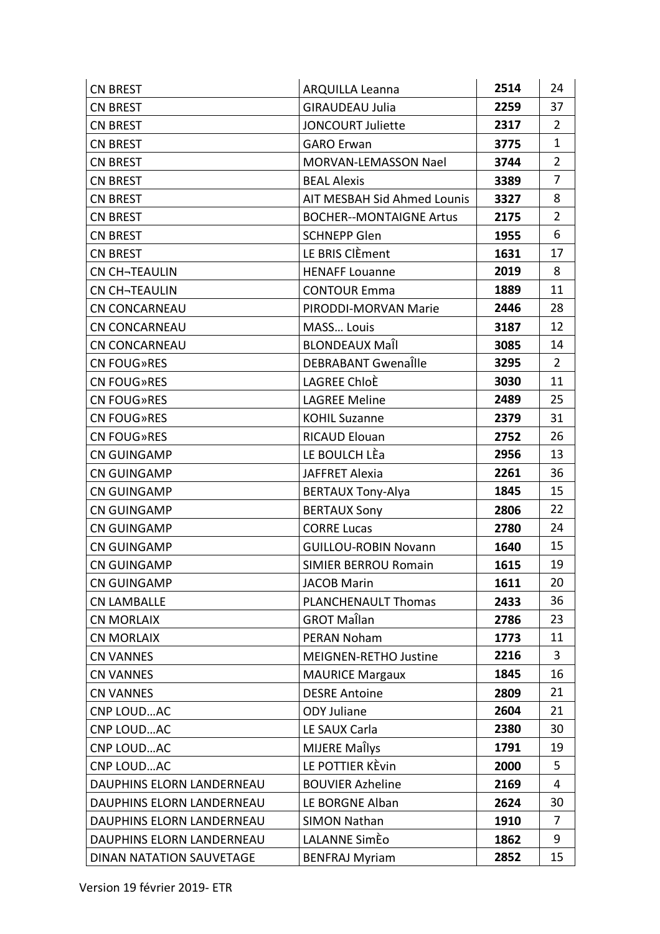| <b>CN BREST</b>           | <b>ARQUILLA Leanna</b>         | 2514 | 24             |
|---------------------------|--------------------------------|------|----------------|
| <b>CN BREST</b>           | <b>GIRAUDEAU Julia</b>         | 2259 | 37             |
| <b>CN BREST</b>           | <b>JONCOURT Juliette</b>       | 2317 | 2              |
| <b>CN BREST</b>           | <b>GARO Erwan</b>              | 3775 | $\mathbf{1}$   |
| <b>CN BREST</b>           | <b>MORVAN-LEMASSON Nael</b>    | 3744 | $\overline{2}$ |
| <b>CN BREST</b>           | <b>BEAL Alexis</b>             | 3389 | 7              |
| <b>CN BREST</b>           | AIT MESBAH Sid Ahmed Lounis    | 3327 | 8              |
| <b>CN BREST</b>           | <b>BOCHER--MONTAIGNE Artus</b> | 2175 | $\overline{2}$ |
| <b>CN BREST</b>           | <b>SCHNEPP Glen</b>            | 1955 | 6              |
| <b>CN BREST</b>           | LE BRIS ClÈment                | 1631 | 17             |
| CN CH-TEAULIN             | <b>HENAFF Louanne</b>          | 2019 | 8              |
| <b>CN CH-TEAULIN</b>      | <b>CONTOUR Emma</b>            | 1889 | 11             |
| <b>CN CONCARNEAU</b>      | PIRODDI-MORVAN Marie           | 2446 | 28             |
| <b>CN CONCARNEAU</b>      | MASS Louis                     | 3187 | 12             |
| <b>CN CONCARNEAU</b>      | <b>BLONDEAUX Maîl</b>          | 3085 | 14             |
| <b>CN FOUG»RES</b>        | DEBRABANT Gwenalle             | 3295 | $\overline{2}$ |
| CN FOUG»RES               | LAGREE ChloÈ                   | 3030 | 11             |
| CN FOUG»RES               | <b>LAGREE Meline</b>           | 2489 | 25             |
| CN FOUG»RES               | <b>KOHIL Suzanne</b>           | 2379 | 31             |
| CN FOUG»RES               | <b>RICAUD Elouan</b>           | 2752 | 26             |
| <b>CN GUINGAMP</b>        | LE BOULCH LÈa                  | 2956 | 13             |
| <b>CN GUINGAMP</b>        | JAFFRET Alexia                 | 2261 | 36             |
| CN GUINGAMP               | <b>BERTAUX Tony-Alya</b>       | 1845 | 15             |
| <b>CN GUINGAMP</b>        | <b>BERTAUX Sony</b>            | 2806 | 22             |
| CN GUINGAMP               | <b>CORRE Lucas</b>             | 2780 | 24             |
| <b>CN GUINGAMP</b>        | <b>GUILLOU-ROBIN Novann</b>    | 1640 | 15             |
| <b>CN GUINGAMP</b>        | <b>SIMIER BERROU Romain</b>    | 1615 | 19             |
| <b>CN GUINGAMP</b>        | <b>JACOB Marin</b>             | 1611 | 20             |
| <b>CN LAMBALLE</b>        | <b>PLANCHENAULT Thomas</b>     | 2433 | 36             |
| <b>CN MORLAIX</b>         | <b>GROT Maîlan</b>             | 2786 | 23             |
| <b>CN MORLAIX</b>         | <b>PERAN Noham</b>             | 1773 | 11             |
| <b>CN VANNES</b>          | <b>MEIGNEN-RETHO Justine</b>   | 2216 | 3              |
| <b>CN VANNES</b>          | <b>MAURICE Margaux</b>         | 1845 | 16             |
| <b>CN VANNES</b>          | <b>DESRE Antoine</b>           | 2809 | 21             |
| CNP LOUDAC                | <b>ODY Juliane</b>             | 2604 | 21             |
| CNP LOUDAC                | LE SAUX Carla                  | 2380 | 30             |
| CNP LOUDAC                | <b>MIJERE Maîlys</b>           | 1791 | 19             |
| CNP LOUDAC                | LE POTTIER KÈvin               | 2000 | 5              |
| DAUPHINS ELORN LANDERNEAU | <b>BOUVIER Azheline</b>        | 2169 | 4              |
| DAUPHINS ELORN LANDERNEAU | LE BORGNE Alban                | 2624 | 30             |
| DAUPHINS ELORN LANDERNEAU | <b>SIMON Nathan</b>            | 1910 | 7              |
| DAUPHINS ELORN LANDERNEAU | LALANNE SimEo                  | 1862 | 9              |
| DINAN NATATION SAUVETAGE  | <b>BENFRAJ Myriam</b>          | 2852 | 15             |